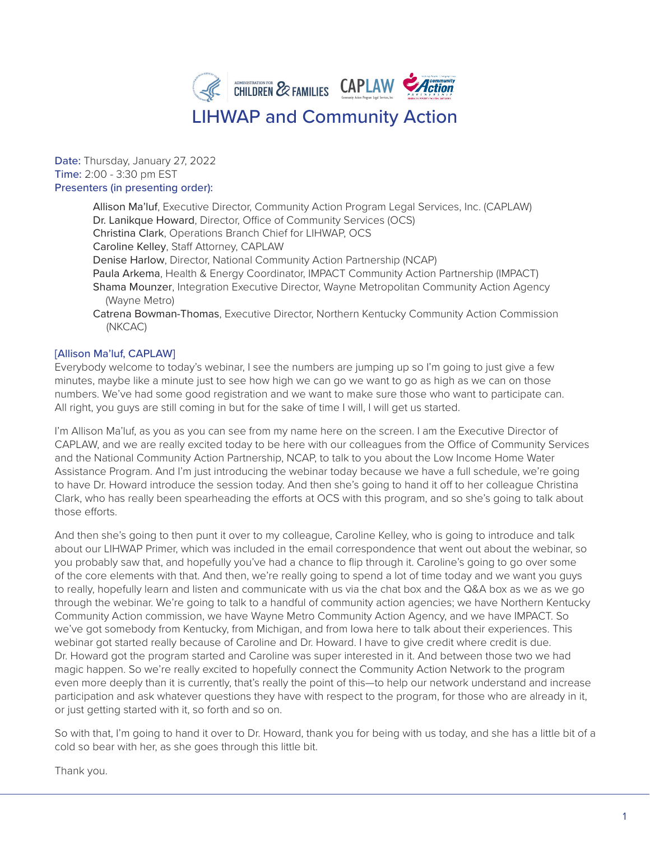

### Date: Thursday, January 27, 2022 Time: 2:00 - 3:30 pm EST Presenters (in presenting order):

Allison Ma'luf, Executive Director, Community Action Program Legal Services, Inc. (CAPLAW) Dr. Lanikque Howard, Director, Office of Community Services (OCS) Christina Clark, Operations Branch Chief for LIHWAP, OCS Caroline Kelley, Staff Attorney, CAPLAW Denise Harlow, Director, National Community Action Partnership (NCAP) Paula Arkema, Health & Energy Coordinator, IMPACT Community Action Partnership (IMPACT) Shama Mounzer, Integration Executive Director, Wayne Metropolitan Community Action Agency (Wayne Metro) Catrena Bowman-Thomas, Executive Director, Northern Kentucky Community Action Commission (NKCAC)

# [Allison Ma'luf, CAPLAW]

Everybody welcome to today's webinar, I see the numbers are jumping up so I'm going to just give a few minutes, maybe like a minute just to see how high we can go we want to go as high as we can on those numbers. We've had some good registration and we want to make sure those who want to participate can. All right, you guys are still coming in but for the sake of time I will, I will get us started.

I'm Allison Ma'luf, as you as you can see from my name here on the screen. I am the Executive Director of CAPLAW, and we are really excited today to be here with our colleagues from the Office of Community Services and the National Community Action Partnership, NCAP, to talk to you about the Low Income Home Water Assistance Program. And I'm just introducing the webinar today because we have a full schedule, we're going to have Dr. Howard introduce the session today. And then she's going to hand it off to her colleague Christina Clark, who has really been spearheading the efforts at OCS with this program, and so she's going to talk about those efforts.

And then she's going to then punt it over to my colleague, Caroline Kelley, who is going to introduce and talk about our LIHWAP Primer, which was included in the email correspondence that went out about the webinar, so you probably saw that, and hopefully you've had a chance to flip through it. Caroline's going to go over some of the core elements with that. And then, we're really going to spend a lot of time today and we want you guys to really, hopefully learn and listen and communicate with us via the chat box and the Q&A box as we as we go through the webinar. We're going to talk to a handful of community action agencies; we have Northern Kentucky Community Action commission, we have Wayne Metro Community Action Agency, and we have IMPACT. So we've got somebody from Kentucky, from Michigan, and from Iowa here to talk about their experiences. This webinar got started really because of Caroline and Dr. Howard. I have to give credit where credit is due. Dr. Howard got the program started and Caroline was super interested in it. And between those two we had magic happen. So we're really excited to hopefully connect the Community Action Network to the program even more deeply than it is currently, that's really the point of this—to help our network understand and increase participation and ask whatever questions they have with respect to the program, for those who are already in it, or just getting started with it, so forth and so on.

So with that, I'm going to hand it over to Dr. Howard, thank you for being with us today, and she has a little bit of a cold so bear with her, as she goes through this little bit.

Thank you.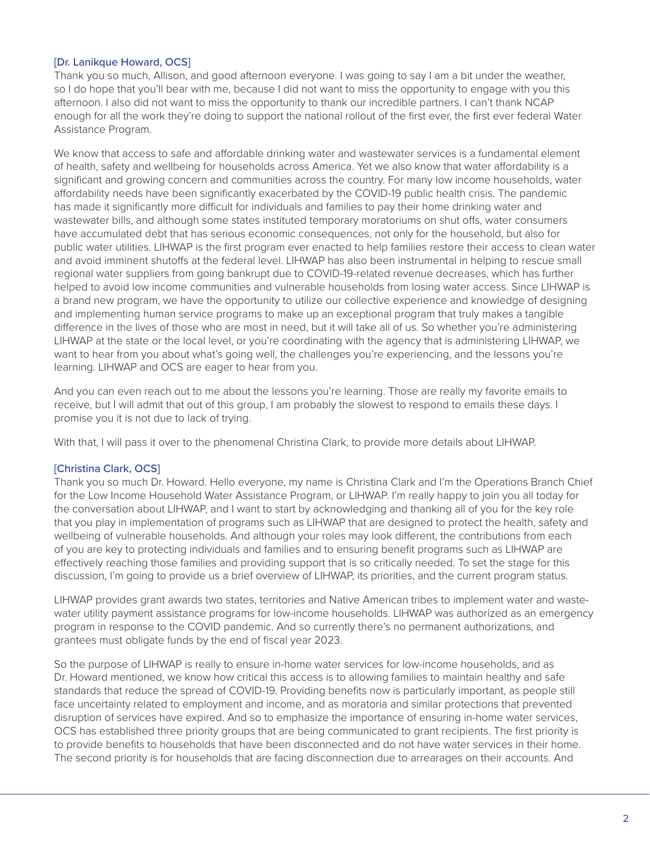# [Dr. Lanikque Howard, OCS]

Thank you so much, Allison, and good afternoon everyone. I was going to say I am a bit under the weather, so I do hope that you'll bear with me, because I did not want to miss the opportunity to engage with you this afternoon. I also did not want to miss the opportunity to thank our incredible partners. I can't thank NCAP enough for all the work they're doing to support the national rollout of the first ever, the first ever federal Water Assistance Program.

We know that access to safe and affordable drinking water and wastewater services is a fundamental element of health, safety and wellbeing for households across America. Yet we also know that water affordability is a significant and growing concern and communities across the country. For many low income households, water affordability needs have been significantly exacerbated by the COVID-19 public health crisis. The pandemic has made it significantly more difficult for individuals and families to pay their home drinking water and wastewater bills, and although some states instituted temporary moratoriums on shut offs, water consumers have accumulated debt that has serious economic consequences, not only for the household, but also for public water utilities. LIHWAP is the first program ever enacted to help families restore their access to clean water and avoid imminent shutoffs at the federal level. LIHWAP has also been instrumental in helping to rescue small regional water suppliers from going bankrupt due to COVID-19-related revenue decreases, which has further helped to avoid low income communities and vulnerable households from losing water access. Since LIHWAP is a brand new program, we have the opportunity to utilize our collective experience and knowledge of designing and implementing human service programs to make up an exceptional program that truly makes a tangible difference in the lives of those who are most in need, but it will take all of us. So whether you're administering LIHWAP at the state or the local level, or you're coordinating with the agency that is administering LIHWAP, we want to hear from you about what's going well, the challenges you're experiencing, and the lessons you're learning. LIHWAP and OCS are eager to hear from you.

And you can even reach out to me about the lessons you're learning. Those are really my favorite emails to receive, but I will admit that out of this group, I am probably the slowest to respond to emails these days. I promise you it is not due to lack of trying.

With that, I will pass it over to the phenomenal Christina Clark, to provide more details about LIHWAP.

### [Christina Clark, OCS]

Thank you so much Dr. Howard. Hello everyone, my name is Christina Clark and I'm the Operations Branch Chief for the Low Income Household Water Assistance Program, or LIHWAP. I'm really happy to join you all today for the conversation about LIHWAP, and I want to start by acknowledging and thanking all of you for the key role that you play in implementation of programs such as LIHWAP that are designed to protect the health, safety and wellbeing of vulnerable households. And although your roles may look different, the contributions from each of you are key to protecting individuals and families and to ensuring benefit programs such as LIHWAP are effectively reaching those families and providing support that is so critically needed. To set the stage for this discussion, I'm going to provide us a brief overview of LIHWAP, its priorities, and the current program status.

LIHWAP provides grant awards two states, territories and Native American tribes to implement water and wastewater utility payment assistance programs for low-income households. LIHWAP was authorized as an emergency program in response to the COVID pandemic. And so currently there's no permanent authorizations, and grantees must obligate funds by the end of fiscal year 2023.

So the purpose of LIHWAP is really to ensure in-home water services for low-income households, and as Dr. Howard mentioned, we know how critical this access is to allowing families to maintain healthy and safe standards that reduce the spread of COVID-19. Providing benefits now is particularly important, as people still face uncertainty related to employment and income, and as moratoria and similar protections that prevented disruption of services have expired. And so to emphasize the importance of ensuring in-home water services, OCS has established three priority groups that are being communicated to grant recipients. The first priority is to provide benefits to households that have been disconnected and do not have water services in their home. The second priority is for households that are facing disconnection due to arrearages on their accounts. And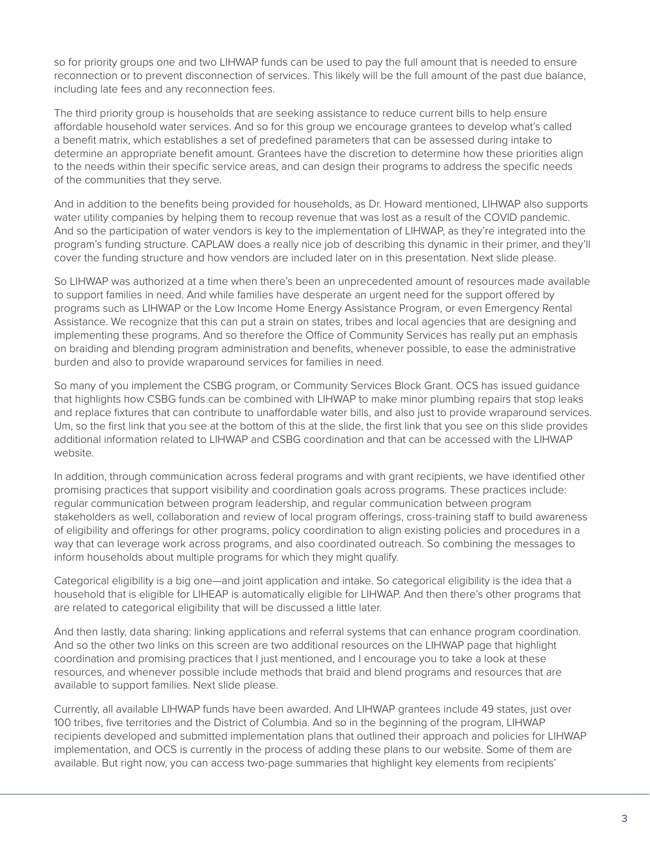so for priority groups one and two LIHWAP funds can be used to pay the full amount that is needed to ensure reconnection or to prevent disconnection of services. This likely will be the full amount of the past due balance, including late fees and any reconnection fees.

The third priority group is households that are seeking assistance to reduce current bills to help ensure affordable household water services. And so for this group we encourage grantees to develop what's called a benefit matrix, which establishes a set of predefined parameters that can be assessed during intake to determine an appropriate benefit amount. Grantees have the discretion to determine how these priorities align to the needs within their specific service areas, and can design their programs to address the specific needs of the communities that they serve.

And in addition to the benefits being provided for households, as Dr. Howard mentioned, LIHWAP also supports water utility companies by helping them to recoup revenue that was lost as a result of the COVID pandemic. And so the participation of water vendors is key to the implementation of LIHWAP, as they're integrated into the program's funding structure. CAPLAW does a really nice job of describing this dynamic in their primer, and they'll cover the funding structure and how vendors are included later on in this presentation. Next slide please.

So LIHWAP was authorized at a time when there's been an unprecedented amount of resources made available to support families in need. And while families have desperate an urgent need for the support offered by programs such as LIHWAP or the Low Income Home Energy Assistance Program, or even Emergency Rental Assistance. We recognize that this can put a strain on states, tribes and local agencies that are designing and implementing these programs. And so therefore the Office of Community Services has really put an emphasis on braiding and blending program administration and benefits, whenever possible, to ease the administrative burden and also to provide wraparound services for families in need.

So many of you implement the CSBG program, or Community Services Block Grant. OCS has issued guidance that highlights how CSBG funds can be combined with LIHWAP to make minor plumbing repairs that stop leaks and replace fixtures that can contribute to unaffordable water bills, and also just to provide wraparound services. Um, so the first link that you see at the bottom of this at the slide, the first link that you see on this slide provides additional information related to LIHWAP and CSBG coordination and that can be accessed with the LIHWAP website.

In addition, through communication across federal programs and with grant recipients, we have identified other promising practices that support visibility and coordination goals across programs. These practices include: regular communication between program leadership, and regular communication between program stakeholders as well, collaboration and review of local program offerings, cross-training staff to build awareness of eligibility and offerings for other programs, policy coordination to align existing policies and procedures in a way that can leverage work across programs, and also coordinated outreach. So combining the messages to inform households about multiple programs for which they might qualify.

Categorical eligibility is a big one—and joint application and intake. So categorical eligibility is the idea that a household that is eligible for LIHEAP is automatically eligible for LIHWAP. And then there's other programs that are related to categorical eligibility that will be discussed a little later.

And then lastly, data sharing: linking applications and referral systems that can enhance program coordination. And so the other two links on this screen are two additional resources on the LIHWAP page that highlight coordination and promising practices that I just mentioned, and I encourage you to take a look at these resources, and whenever possible include methods that braid and blend programs and resources that are available to support families. Next slide please.

Currently, all available LIHWAP funds have been awarded. And LIHWAP grantees include 49 states, just over 100 tribes, five territories and the District of Columbia. And so in the beginning of the program, LIHWAP recipients developed and submitted implementation plans that outlined their approach and policies for LIHWAP implementation, and OCS is currently in the process of adding these plans to our website. Some of them are available. But right now, you can access two-page summaries that highlight key elements from recipients'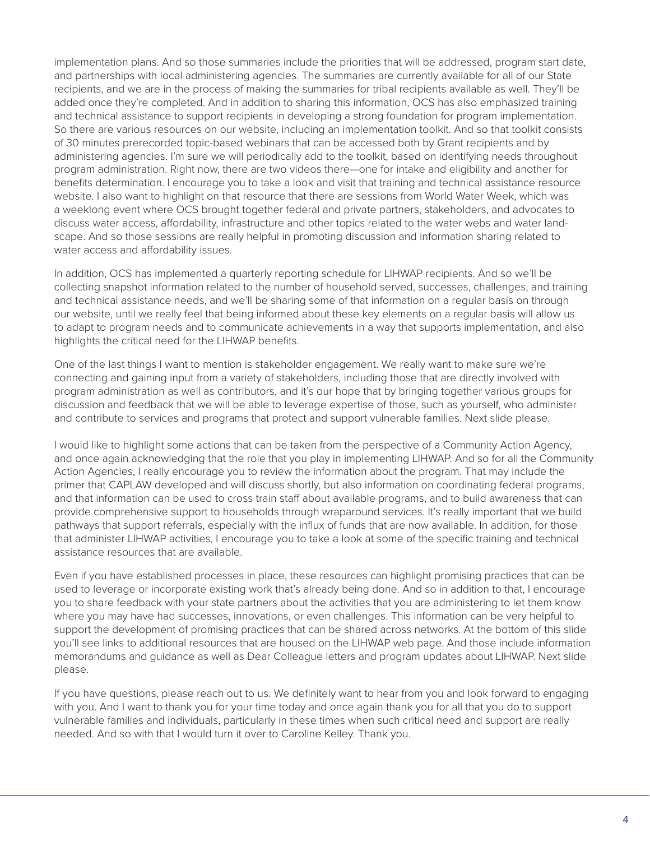implementation plans. And so those summaries include the priorities that will be addressed, program start date, and partnerships with local administering agencies. The summaries are currently available for all of our State recipients, and we are in the process of making the summaries for tribal recipients available as well. They'll be added once they're completed. And in addition to sharing this information, OCS has also emphasized training and technical assistance to support recipients in developing a strong foundation for program implementation. So there are various resources on our website, including an implementation toolkit. And so that toolkit consists of 30 minutes prerecorded topic-based webinars that can be accessed both by Grant recipients and by administering agencies. I'm sure we will periodically add to the toolkit, based on identifying needs throughout program administration. Right now, there are two videos there—one for intake and eligibility and another for benefits determination. I encourage you to take a look and visit that training and technical assistance resource website. I also want to highlight on that resource that there are sessions from World Water Week, which was a weeklong event where OCS brought together federal and private partners, stakeholders, and advocates to discuss water access, affordability, infrastructure and other topics related to the water webs and water landscape. And so those sessions are really helpful in promoting discussion and information sharing related to water access and affordability issues.

In addition, OCS has implemented a quarterly reporting schedule for LIHWAP recipients. And so we'll be collecting snapshot information related to the number of household served, successes, challenges, and training and technical assistance needs, and we'll be sharing some of that information on a regular basis on through our website, until we really feel that being informed about these key elements on a regular basis will allow us to adapt to program needs and to communicate achievements in a way that supports implementation, and also highlights the critical need for the LIHWAP benefits.

One of the last things I want to mention is stakeholder engagement. We really want to make sure we're connecting and gaining input from a variety of stakeholders, including those that are directly involved with program administration as well as contributors, and it's our hope that by bringing together various groups for discussion and feedback that we will be able to leverage expertise of those, such as yourself, who administer and contribute to services and programs that protect and support vulnerable families. Next slide please.

I would like to highlight some actions that can be taken from the perspective of a Community Action Agency, and once again acknowledging that the role that you play in implementing LIHWAP. And so for all the Community Action Agencies, I really encourage you to review the information about the program. That may include the primer that CAPLAW developed and will discuss shortly, but also information on coordinating federal programs, and that information can be used to cross train staff about available programs, and to build awareness that can provide comprehensive support to households through wraparound services. It's really important that we build pathways that support referrals, especially with the influx of funds that are now available. In addition, for those that administer LIHWAP activities, I encourage you to take a look at some of the specific training and technical assistance resources that are available.

Even if you have established processes in place, these resources can highlight promising practices that can be used to leverage or incorporate existing work that's already being done. And so in addition to that, I encourage you to share feedback with your state partners about the activities that you are administering to let them know where you may have had successes, innovations, or even challenges. This information can be very helpful to support the development of promising practices that can be shared across networks. At the bottom of this slide you'll see links to additional resources that are housed on the LIHWAP web page. And those include information memorandums and guidance as well as Dear Colleague letters and program updates about LIHWAP. Next slide please.

If you have questions, please reach out to us. We definitely want to hear from you and look forward to engaging with you. And I want to thank you for your time today and once again thank you for all that you do to support vulnerable families and individuals, particularly in these times when such critical need and support are really needed. And so with that I would turn it over to Caroline Kelley. Thank you.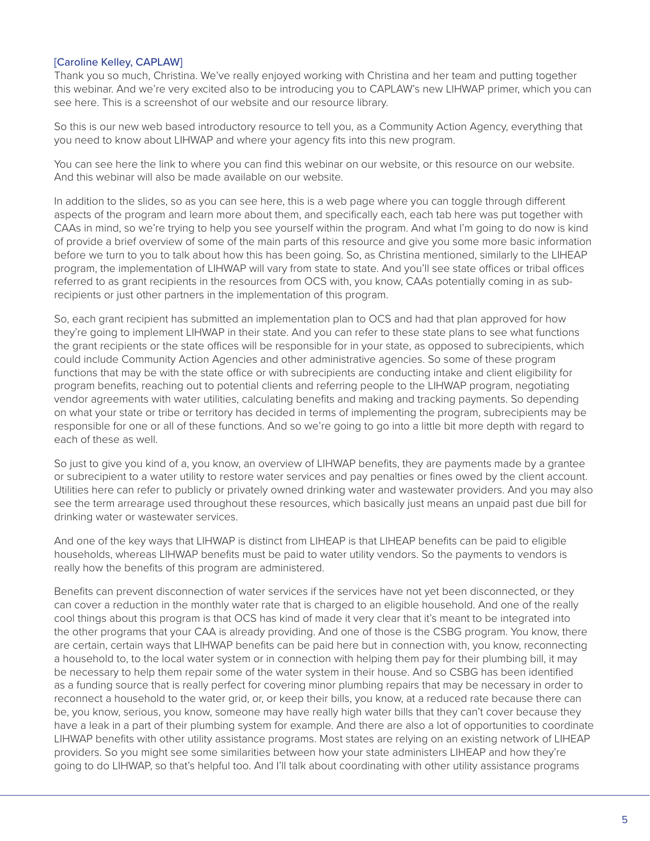### [Caroline Kelley, CAPLAW]

Thank you so much, Christina. We've really enjoyed working with Christina and her team and putting together this webinar. And we're very excited also to be introducing you to CAPLAW's new LIHWAP primer, which you can see here. This is a screenshot of our website and our resource library.

So this is our new web based introductory resource to tell you, as a Community Action Agency, everything that you need to know about LIHWAP and where your agency fits into this new program.

You can see here the link to where you can find this webinar on our website, or this resource on our website. And this webinar will also be made available on our website.

In addition to the slides, so as you can see here, this is a web page where you can toggle through different aspects of the program and learn more about them, and specifically each, each tab here was put together with CAAs in mind, so we're trying to help you see yourself within the program. And what I'm going to do now is kind of provide a brief overview of some of the main parts of this resource and give you some more basic information before we turn to you to talk about how this has been going. So, as Christina mentioned, similarly to the LIHEAP program, the implementation of LIHWAP will vary from state to state. And you'll see state offices or tribal offices referred to as grant recipients in the resources from OCS with, you know, CAAs potentially coming in as subrecipients or just other partners in the implementation of this program.

So, each grant recipient has submitted an implementation plan to OCS and had that plan approved for how they're going to implement LIHWAP in their state. And you can refer to these state plans to see what functions the grant recipients or the state offices will be responsible for in your state, as opposed to subrecipients, which could include Community Action Agencies and other administrative agencies. So some of these program functions that may be with the state office or with subrecipients are conducting intake and client eligibility for program benefits, reaching out to potential clients and referring people to the LIHWAP program, negotiating vendor agreements with water utilities, calculating benefits and making and tracking payments. So depending on what your state or tribe or territory has decided in terms of implementing the program, subrecipients may be responsible for one or all of these functions. And so we're going to go into a little bit more depth with regard to each of these as well.

So just to give you kind of a, you know, an overview of LIHWAP benefits, they are payments made by a grantee or subrecipient to a water utility to restore water services and pay penalties or fines owed by the client account. Utilities here can refer to publicly or privately owned drinking water and wastewater providers. And you may also see the term arrearage used throughout these resources, which basically just means an unpaid past due bill for drinking water or wastewater services.

And one of the key ways that LIHWAP is distinct from LIHEAP is that LIHEAP benefits can be paid to eligible households, whereas LIHWAP benefits must be paid to water utility vendors. So the payments to vendors is really how the benefits of this program are administered.

Benefits can prevent disconnection of water services if the services have not yet been disconnected, or they can cover a reduction in the monthly water rate that is charged to an eligible household. And one of the really cool things about this program is that OCS has kind of made it very clear that it's meant to be integrated into the other programs that your CAA is already providing. And one of those is the CSBG program. You know, there are certain, certain ways that LIHWAP benefits can be paid here but in connection with, you know, reconnecting a household to, to the local water system or in connection with helping them pay for their plumbing bill, it may be necessary to help them repair some of the water system in their house. And so CSBG has been identified as a funding source that is really perfect for covering minor plumbing repairs that may be necessary in order to reconnect a household to the water grid, or, or keep their bills, you know, at a reduced rate because there can be, you know, serious, you know, someone may have really high water bills that they can't cover because they have a leak in a part of their plumbing system for example. And there are also a lot of opportunities to coordinate LIHWAP benefits with other utility assistance programs. Most states are relying on an existing network of LIHEAP providers. So you might see some similarities between how your state administers LIHEAP and how they're going to do LIHWAP, so that's helpful too. And I'll talk about coordinating with other utility assistance programs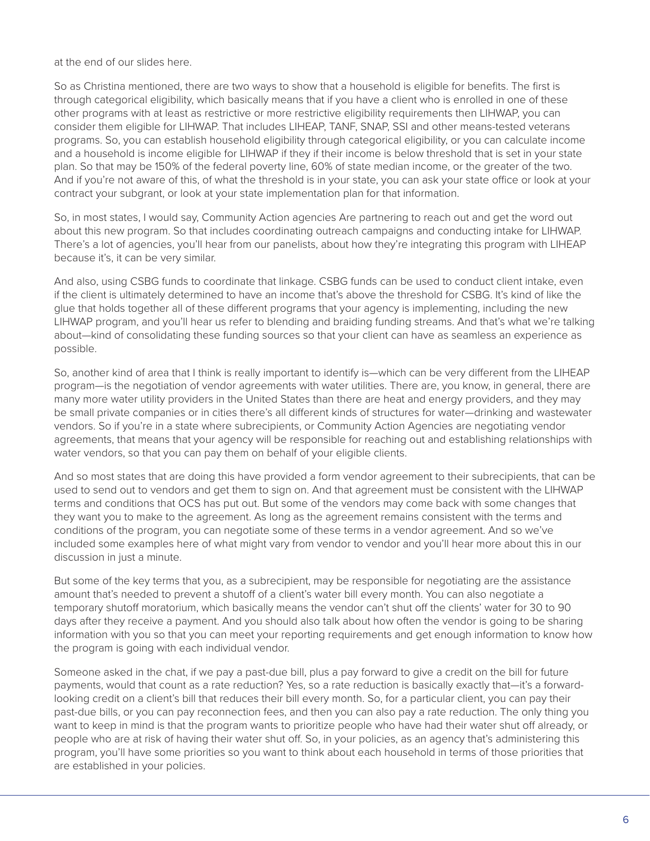at the end of our slides here.

So as Christina mentioned, there are two ways to show that a household is eligible for benefits. The first is through categorical eligibility, which basically means that if you have a client who is enrolled in one of these other programs with at least as restrictive or more restrictive eligibility requirements then LIHWAP, you can consider them eligible for LIHWAP. That includes LIHEAP, TANF, SNAP, SSI and other means-tested veterans programs. So, you can establish household eligibility through categorical eligibility, or you can calculate income and a household is income eligible for LIHWAP if they if their income is below threshold that is set in your state plan. So that may be 150% of the federal poverty line, 60% of state median income, or the greater of the two. And if you're not aware of this, of what the threshold is in your state, you can ask your state office or look at your contract your subgrant, or look at your state implementation plan for that information.

So, in most states, I would say, Community Action agencies Are partnering to reach out and get the word out about this new program. So that includes coordinating outreach campaigns and conducting intake for LIHWAP. There's a lot of agencies, you'll hear from our panelists, about how they're integrating this program with LIHEAP because it's, it can be very similar.

And also, using CSBG funds to coordinate that linkage. CSBG funds can be used to conduct client intake, even if the client is ultimately determined to have an income that's above the threshold for CSBG. It's kind of like the glue that holds together all of these different programs that your agency is implementing, including the new LIHWAP program, and you'll hear us refer to blending and braiding funding streams. And that's what we're talking about—kind of consolidating these funding sources so that your client can have as seamless an experience as possible.

So, another kind of area that I think is really important to identify is—which can be very different from the LIHEAP program—is the negotiation of vendor agreements with water utilities. There are, you know, in general, there are many more water utility providers in the United States than there are heat and energy providers, and they may be small private companies or in cities there's all different kinds of structures for water—drinking and wastewater vendors. So if you're in a state where subrecipients, or Community Action Agencies are negotiating vendor agreements, that means that your agency will be responsible for reaching out and establishing relationships with water vendors, so that you can pay them on behalf of your eligible clients.

And so most states that are doing this have provided a form vendor agreement to their subrecipients, that can be used to send out to vendors and get them to sign on. And that agreement must be consistent with the LIHWAP terms and conditions that OCS has put out. But some of the vendors may come back with some changes that they want you to make to the agreement. As long as the agreement remains consistent with the terms and conditions of the program, you can negotiate some of these terms in a vendor agreement. And so we've included some examples here of what might vary from vendor to vendor and you'll hear more about this in our discussion in just a minute.

But some of the key terms that you, as a subrecipient, may be responsible for negotiating are the assistance amount that's needed to prevent a shutoff of a client's water bill every month. You can also negotiate a temporary shutoff moratorium, which basically means the vendor can't shut off the clients' water for 30 to 90 days after they receive a payment. And you should also talk about how often the vendor is going to be sharing information with you so that you can meet your reporting requirements and get enough information to know how the program is going with each individual vendor.

Someone asked in the chat, if we pay a past-due bill, plus a pay forward to give a credit on the bill for future payments, would that count as a rate reduction? Yes, so a rate reduction is basically exactly that—it's a forwardlooking credit on a client's bill that reduces their bill every month. So, for a particular client, you can pay their past-due bills, or you can pay reconnection fees, and then you can also pay a rate reduction. The only thing you want to keep in mind is that the program wants to prioritize people who have had their water shut off already, or people who are at risk of having their water shut off. So, in your policies, as an agency that's administering this program, you'll have some priorities so you want to think about each household in terms of those priorities that are established in your policies.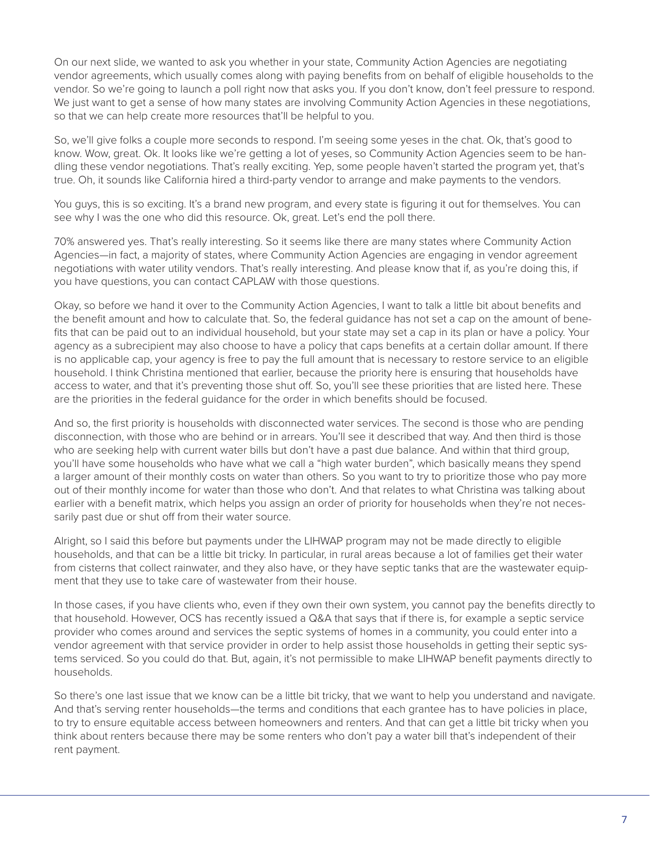On our next slide, we wanted to ask you whether in your state, Community Action Agencies are negotiating vendor agreements, which usually comes along with paying benefits from on behalf of eligible households to the vendor. So we're going to launch a poll right now that asks you. If you don't know, don't feel pressure to respond. We just want to get a sense of how many states are involving Community Action Agencies in these negotiations, so that we can help create more resources that'll be helpful to you.

So, we'll give folks a couple more seconds to respond. I'm seeing some yeses in the chat. Ok, that's good to know. Wow, great. Ok. It looks like we're getting a lot of yeses, so Community Action Agencies seem to be handling these vendor negotiations. That's really exciting. Yep, some people haven't started the program yet, that's true. Oh, it sounds like California hired a third-party vendor to arrange and make payments to the vendors.

You guys, this is so exciting. It's a brand new program, and every state is figuring it out for themselves. You can see why I was the one who did this resource. Ok, great. Let's end the poll there.

70% answered yes. That's really interesting. So it seems like there are many states where Community Action Agencies—in fact, a majority of states, where Community Action Agencies are engaging in vendor agreement negotiations with water utility vendors. That's really interesting. And please know that if, as you're doing this, if you have questions, you can contact CAPLAW with those questions.

Okay, so before we hand it over to the Community Action Agencies, I want to talk a little bit about benefits and the benefit amount and how to calculate that. So, the federal guidance has not set a cap on the amount of benefits that can be paid out to an individual household, but your state may set a cap in its plan or have a policy. Your agency as a subrecipient may also choose to have a policy that caps benefits at a certain dollar amount. If there is no applicable cap, your agency is free to pay the full amount that is necessary to restore service to an eligible household. I think Christina mentioned that earlier, because the priority here is ensuring that households have access to water, and that it's preventing those shut off. So, you'll see these priorities that are listed here. These are the priorities in the federal guidance for the order in which benefits should be focused.

And so, the first priority is households with disconnected water services. The second is those who are pending disconnection, with those who are behind or in arrears. You'll see it described that way. And then third is those who are seeking help with current water bills but don't have a past due balance. And within that third group, you'll have some households who have what we call a "high water burden", which basically means they spend a larger amount of their monthly costs on water than others. So you want to try to prioritize those who pay more out of their monthly income for water than those who don't. And that relates to what Christina was talking about earlier with a benefit matrix, which helps you assign an order of priority for households when they're not necessarily past due or shut off from their water source.

Alright, so I said this before but payments under the LIHWAP program may not be made directly to eligible households, and that can be a little bit tricky. In particular, in rural areas because a lot of families get their water from cisterns that collect rainwater, and they also have, or they have septic tanks that are the wastewater equipment that they use to take care of wastewater from their house.

In those cases, if you have clients who, even if they own their own system, you cannot pay the benefits directly to that household. However, OCS has recently issued a Q&A that says that if there is, for example a septic service provider who comes around and services the septic systems of homes in a community, you could enter into a vendor agreement with that service provider in order to help assist those households in getting their septic systems serviced. So you could do that. But, again, it's not permissible to make LIHWAP benefit payments directly to households.

So there's one last issue that we know can be a little bit tricky, that we want to help you understand and navigate. And that's serving renter households—the terms and conditions that each grantee has to have policies in place, to try to ensure equitable access between homeowners and renters. And that can get a little bit tricky when you think about renters because there may be some renters who don't pay a water bill that's independent of their rent payment.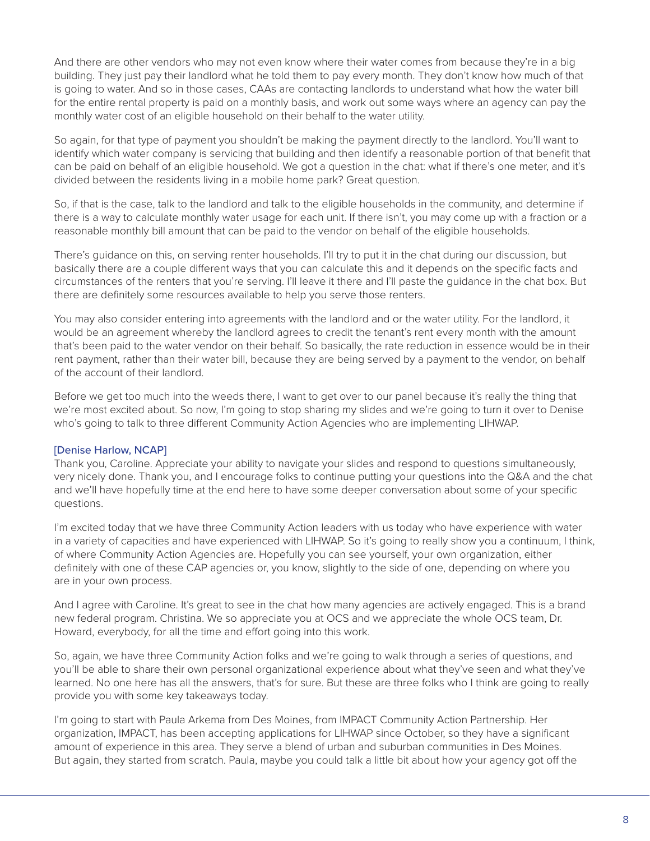And there are other vendors who may not even know where their water comes from because they're in a big building. They just pay their landlord what he told them to pay every month. They don't know how much of that is going to water. And so in those cases, CAAs are contacting landlords to understand what how the water bill for the entire rental property is paid on a monthly basis, and work out some ways where an agency can pay the monthly water cost of an eligible household on their behalf to the water utility.

So again, for that type of payment you shouldn't be making the payment directly to the landlord. You'll want to identify which water company is servicing that building and then identify a reasonable portion of that benefit that can be paid on behalf of an eligible household. We got a question in the chat: what if there's one meter, and it's divided between the residents living in a mobile home park? Great question.

So, if that is the case, talk to the landlord and talk to the eligible households in the community, and determine if there is a way to calculate monthly water usage for each unit. If there isn't, you may come up with a fraction or a reasonable monthly bill amount that can be paid to the vendor on behalf of the eligible households.

There's guidance on this, on serving renter households. I'll try to put it in the chat during our discussion, but basically there are a couple different ways that you can calculate this and it depends on the specific facts and circumstances of the renters that you're serving. I'll leave it there and I'll paste the guidance in the chat box. But there are definitely some resources available to help you serve those renters.

You may also consider entering into agreements with the landlord and or the water utility. For the landlord, it would be an agreement whereby the landlord agrees to credit the tenant's rent every month with the amount that's been paid to the water vendor on their behalf. So basically, the rate reduction in essence would be in their rent payment, rather than their water bill, because they are being served by a payment to the vendor, on behalf of the account of their landlord.

Before we get too much into the weeds there, I want to get over to our panel because it's really the thing that we're most excited about. So now, I'm going to stop sharing my slides and we're going to turn it over to Denise who's going to talk to three different Community Action Agencies who are implementing LIHWAP.

# [Denise Harlow, NCAP]

Thank you, Caroline. Appreciate your ability to navigate your slides and respond to questions simultaneously, very nicely done. Thank you, and I encourage folks to continue putting your questions into the Q&A and the chat and we'll have hopefully time at the end here to have some deeper conversation about some of your specific questions.

I'm excited today that we have three Community Action leaders with us today who have experience with water in a variety of capacities and have experienced with LIHWAP. So it's going to really show you a continuum, I think, of where Community Action Agencies are. Hopefully you can see yourself, your own organization, either definitely with one of these CAP agencies or, you know, slightly to the side of one, depending on where you are in your own process.

And I agree with Caroline. It's great to see in the chat how many agencies are actively engaged. This is a brand new federal program. Christina. We so appreciate you at OCS and we appreciate the whole OCS team, Dr. Howard, everybody, for all the time and effort going into this work.

So, again, we have three Community Action folks and we're going to walk through a series of questions, and you'll be able to share their own personal organizational experience about what they've seen and what they've learned. No one here has all the answers, that's for sure. But these are three folks who I think are going to really provide you with some key takeaways today.

I'm going to start with Paula Arkema from Des Moines, from IMPACT Community Action Partnership. Her organization, IMPACT, has been accepting applications for LIHWAP since October, so they have a significant amount of experience in this area. They serve a blend of urban and suburban communities in Des Moines. But again, they started from scratch. Paula, maybe you could talk a little bit about how your agency got off the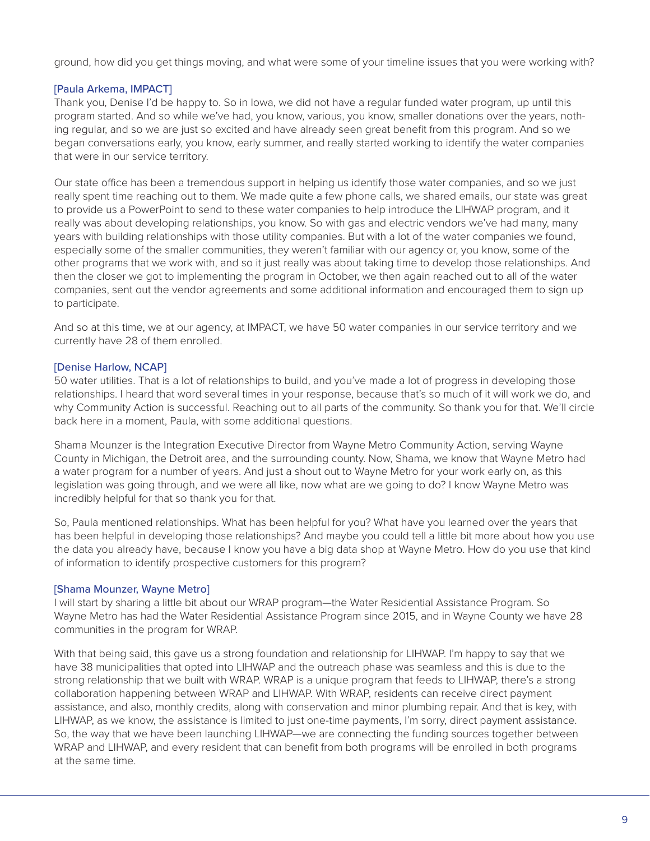ground, how did you get things moving, and what were some of your timeline issues that you were working with?

# [Paula Arkema, IMPACT]

Thank you, Denise I'd be happy to. So in Iowa, we did not have a regular funded water program, up until this program started. And so while we've had, you know, various, you know, smaller donations over the years, nothing regular, and so we are just so excited and have already seen great benefit from this program. And so we began conversations early, you know, early summer, and really started working to identify the water companies that were in our service territory.

Our state office has been a tremendous support in helping us identify those water companies, and so we just really spent time reaching out to them. We made quite a few phone calls, we shared emails, our state was great to provide us a PowerPoint to send to these water companies to help introduce the LIHWAP program, and it really was about developing relationships, you know. So with gas and electric vendors we've had many, many years with building relationships with those utility companies. But with a lot of the water companies we found, especially some of the smaller communities, they weren't familiar with our agency or, you know, some of the other programs that we work with, and so it just really was about taking time to develop those relationships. And then the closer we got to implementing the program in October, we then again reached out to all of the water companies, sent out the vendor agreements and some additional information and encouraged them to sign up to participate.

And so at this time, we at our agency, at IMPACT, we have 50 water companies in our service territory and we currently have 28 of them enrolled.

# [Denise Harlow, NCAP]

50 water utilities. That is a lot of relationships to build, and you've made a lot of progress in developing those relationships. I heard that word several times in your response, because that's so much of it will work we do, and why Community Action is successful. Reaching out to all parts of the community. So thank you for that. We'll circle back here in a moment, Paula, with some additional questions.

Shama Mounzer is the Integration Executive Director from Wayne Metro Community Action, serving Wayne County in Michigan, the Detroit area, and the surrounding county. Now, Shama, we know that Wayne Metro had a water program for a number of years. And just a shout out to Wayne Metro for your work early on, as this legislation was going through, and we were all like, now what are we going to do? I know Wayne Metro was incredibly helpful for that so thank you for that.

So, Paula mentioned relationships. What has been helpful for you? What have you learned over the years that has been helpful in developing those relationships? And maybe you could tell a little bit more about how you use the data you already have, because I know you have a big data shop at Wayne Metro. How do you use that kind of information to identify prospective customers for this program?

# [Shama Mounzer, Wayne Metro]

I will start by sharing a little bit about our WRAP program—the Water Residential Assistance Program. So Wayne Metro has had the Water Residential Assistance Program since 2015, and in Wayne County we have 28 communities in the program for WRAP.

With that being said, this gave us a strong foundation and relationship for LIHWAP. I'm happy to say that we have 38 municipalities that opted into LIHWAP and the outreach phase was seamless and this is due to the strong relationship that we built with WRAP. WRAP is a unique program that feeds to LIHWAP, there's a strong collaboration happening between WRAP and LIHWAP. With WRAP, residents can receive direct payment assistance, and also, monthly credits, along with conservation and minor plumbing repair. And that is key, with LIHWAP, as we know, the assistance is limited to just one-time payments, I'm sorry, direct payment assistance. So, the way that we have been launching LIHWAP—we are connecting the funding sources together between WRAP and LIHWAP, and every resident that can benefit from both programs will be enrolled in both programs at the same time.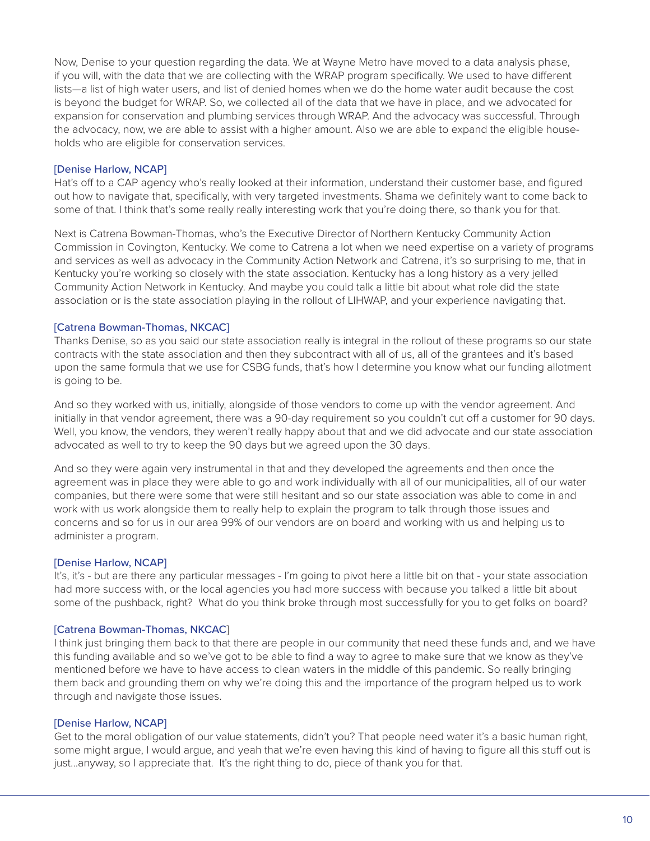Now, Denise to your question regarding the data. We at Wayne Metro have moved to a data analysis phase, if you will, with the data that we are collecting with the WRAP program specifically. We used to have different lists—a list of high water users, and list of denied homes when we do the home water audit because the cost is beyond the budget for WRAP. So, we collected all of the data that we have in place, and we advocated for expansion for conservation and plumbing services through WRAP. And the advocacy was successful. Through the advocacy, now, we are able to assist with a higher amount. Also we are able to expand the eligible households who are eligible for conservation services.

# [Denise Harlow, NCAP]

Hat's off to a CAP agency who's really looked at their information, understand their customer base, and figured out how to navigate that, specifically, with very targeted investments. Shama we definitely want to come back to some of that. I think that's some really really interesting work that you're doing there, so thank you for that.

Next is Catrena Bowman-Thomas, who's the Executive Director of Northern Kentucky Community Action Commission in Covington, Kentucky. We come to Catrena a lot when we need expertise on a variety of programs and services as well as advocacy in the Community Action Network and Catrena, it's so surprising to me, that in Kentucky you're working so closely with the state association. Kentucky has a long history as a very jelled Community Action Network in Kentucky. And maybe you could talk a little bit about what role did the state association or is the state association playing in the rollout of LIHWAP, and your experience navigating that.

# [Catrena Bowman-Thomas, NKCAC]

Thanks Denise, so as you said our state association really is integral in the rollout of these programs so our state contracts with the state association and then they subcontract with all of us, all of the grantees and it's based upon the same formula that we use for CSBG funds, that's how I determine you know what our funding allotment is going to be.

And so they worked with us, initially, alongside of those vendors to come up with the vendor agreement. And initially in that vendor agreement, there was a 90-day requirement so you couldn't cut off a customer for 90 days. Well, you know, the vendors, they weren't really happy about that and we did advocate and our state association advocated as well to try to keep the 90 days but we agreed upon the 30 days.

And so they were again very instrumental in that and they developed the agreements and then once the agreement was in place they were able to go and work individually with all of our municipalities, all of our water companies, but there were some that were still hesitant and so our state association was able to come in and work with us work alongside them to really help to explain the program to talk through those issues and concerns and so for us in our area 99% of our vendors are on board and working with us and helping us to administer a program.

### [Denise Harlow, NCAP]

It's, it's - but are there any particular messages - I'm going to pivot here a little bit on that - your state association had more success with, or the local agencies you had more success with because you talked a little bit about some of the pushback, right? What do you think broke through most successfully for you to get folks on board?

### [Catrena Bowman-Thomas, NKCAC]

I think just bringing them back to that there are people in our community that need these funds and, and we have this funding available and so we've got to be able to find a way to agree to make sure that we know as they've mentioned before we have to have access to clean waters in the middle of this pandemic. So really bringing them back and grounding them on why we're doing this and the importance of the program helped us to work through and navigate those issues.

### [Denise Harlow, NCAP]

Get to the moral obligation of our value statements, didn't you? That people need water it's a basic human right, some might argue, I would argue, and yeah that we're even having this kind of having to figure all this stuff out is just...anyway, so I appreciate that. It's the right thing to do, piece of thank you for that.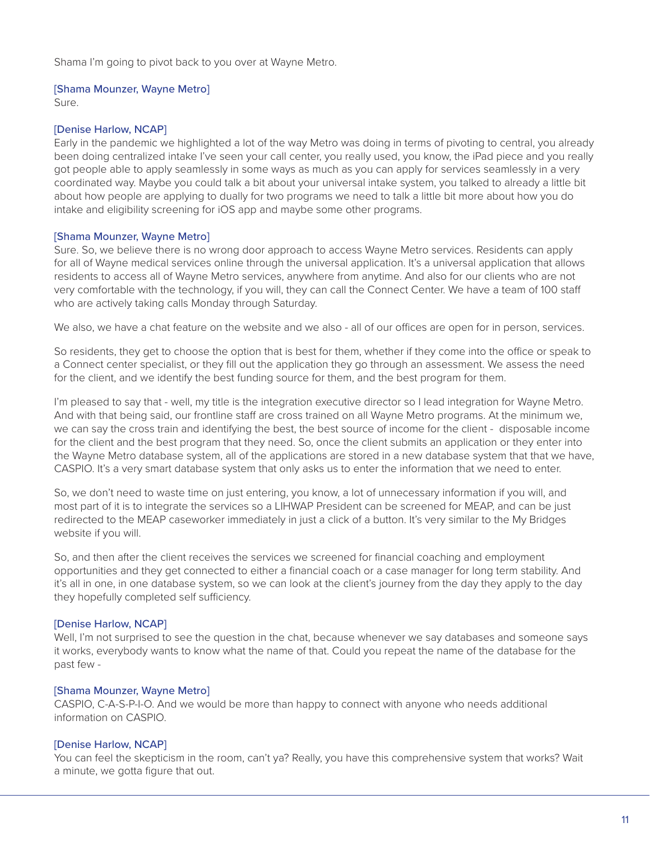Shama I'm going to pivot back to you over at Wayne Metro.

# [Shama Mounzer, Wayne Metro]

Sure.

# [Denise Harlow, NCAP]

Early in the pandemic we highlighted a lot of the way Metro was doing in terms of pivoting to central, you already been doing centralized intake I've seen your call center, you really used, you know, the iPad piece and you really got people able to apply seamlessly in some ways as much as you can apply for services seamlessly in a very coordinated way. Maybe you could talk a bit about your universal intake system, you talked to already a little bit about how people are applying to dually for two programs we need to talk a little bit more about how you do intake and eligibility screening for iOS app and maybe some other programs.

# [Shama Mounzer, Wayne Metro]

Sure. So, we believe there is no wrong door approach to access Wayne Metro services. Residents can apply for all of Wayne medical services online through the universal application. It's a universal application that allows residents to access all of Wayne Metro services, anywhere from anytime. And also for our clients who are not very comfortable with the technology, if you will, they can call the Connect Center. We have a team of 100 staff who are actively taking calls Monday through Saturday.

We also, we have a chat feature on the website and we also - all of our offices are open for in person, services.

So residents, they get to choose the option that is best for them, whether if they come into the office or speak to a Connect center specialist, or they fill out the application they go through an assessment. We assess the need for the client, and we identify the best funding source for them, and the best program for them.

I'm pleased to say that - well, my title is the integration executive director so I lead integration for Wayne Metro. And with that being said, our frontline staff are cross trained on all Wayne Metro programs. At the minimum we, we can say the cross train and identifying the best, the best source of income for the client - disposable income for the client and the best program that they need. So, once the client submits an application or they enter into the Wayne Metro database system, all of the applications are stored in a new database system that that we have, CASPIO. It's a very smart database system that only asks us to enter the information that we need to enter.

So, we don't need to waste time on just entering, you know, a lot of unnecessary information if you will, and most part of it is to integrate the services so a LIHWAP President can be screened for MEAP, and can be just redirected to the MEAP caseworker immediately in just a click of a button. It's very similar to the My Bridges website if you will.

So, and then after the client receives the services we screened for financial coaching and employment opportunities and they get connected to either a financial coach or a case manager for long term stability. And it's all in one, in one database system, so we can look at the client's journey from the day they apply to the day they hopefully completed self sufficiency.

# [Denise Harlow, NCAP]

Well, I'm not surprised to see the question in the chat, because whenever we say databases and someone says it works, everybody wants to know what the name of that. Could you repeat the name of the database for the past few -

# [Shama Mounzer, Wayne Metro]

CASPIO, C-A-S-P-I-O. And we would be more than happy to connect with anyone who needs additional information on CASPIO.

# [Denise Harlow, NCAP]

You can feel the skepticism in the room, can't ya? Really, you have this comprehensive system that works? Wait a minute, we gotta figure that out.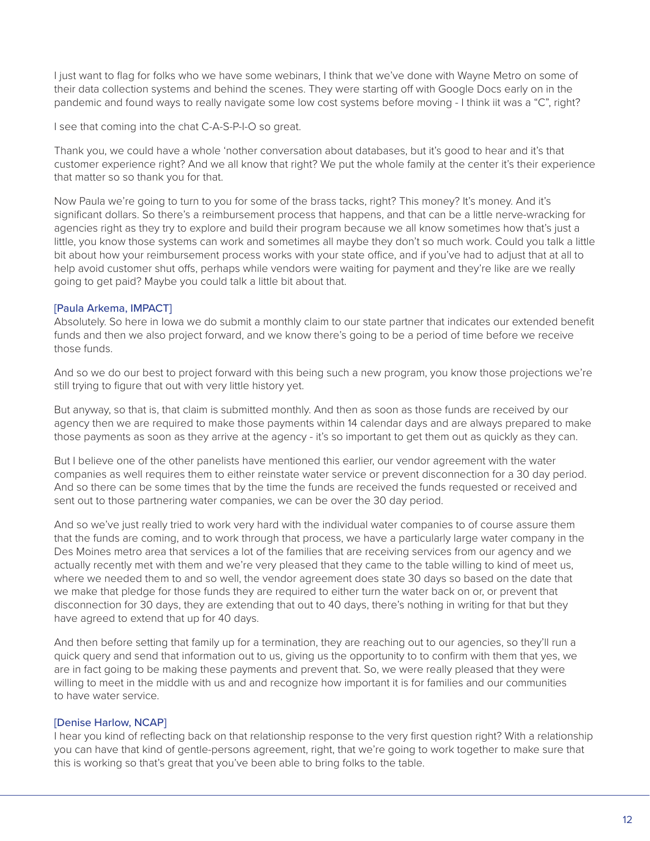I just want to flag for folks who we have some webinars, I think that we've done with Wayne Metro on some of their data collection systems and behind the scenes. They were starting off with Google Docs early on in the pandemic and found ways to really navigate some low cost systems before moving - I think iit was a "C", right?

I see that coming into the chat C-A-S-P-I-O so great.

Thank you, we could have a whole 'nother conversation about databases, but it's good to hear and it's that customer experience right? And we all know that right? We put the whole family at the center it's their experience that matter so so thank you for that.

Now Paula we're going to turn to you for some of the brass tacks, right? This money? It's money. And it's significant dollars. So there's a reimbursement process that happens, and that can be a little nerve-wracking for agencies right as they try to explore and build their program because we all know sometimes how that's just a little, you know those systems can work and sometimes all maybe they don't so much work. Could you talk a little bit about how your reimbursement process works with your state office, and if you've had to adjust that at all to help avoid customer shut offs, perhaps while vendors were waiting for payment and they're like are we really going to get paid? Maybe you could talk a little bit about that.

# [Paula Arkema, IMPACT]

Absolutely. So here in Iowa we do submit a monthly claim to our state partner that indicates our extended benefit funds and then we also project forward, and we know there's going to be a period of time before we receive those funds.

And so we do our best to project forward with this being such a new program, you know those projections we're still trying to figure that out with very little history yet.

But anyway, so that is, that claim is submitted monthly. And then as soon as those funds are received by our agency then we are required to make those payments within 14 calendar days and are always prepared to make those payments as soon as they arrive at the agency - it's so important to get them out as quickly as they can.

But I believe one of the other panelists have mentioned this earlier, our vendor agreement with the water companies as well requires them to either reinstate water service or prevent disconnection for a 30 day period. And so there can be some times that by the time the funds are received the funds requested or received and sent out to those partnering water companies, we can be over the 30 day period.

And so we've just really tried to work very hard with the individual water companies to of course assure them that the funds are coming, and to work through that process, we have a particularly large water company in the Des Moines metro area that services a lot of the families that are receiving services from our agency and we actually recently met with them and we're very pleased that they came to the table willing to kind of meet us, where we needed them to and so well, the vendor agreement does state 30 days so based on the date that we make that pledge for those funds they are required to either turn the water back on or, or prevent that disconnection for 30 days, they are extending that out to 40 days, there's nothing in writing for that but they have agreed to extend that up for 40 days.

And then before setting that family up for a termination, they are reaching out to our agencies, so they'll run a quick query and send that information out to us, giving us the opportunity to to confirm with them that yes, we are in fact going to be making these payments and prevent that. So, we were really pleased that they were willing to meet in the middle with us and and recognize how important it is for families and our communities to have water service.

# [Denise Harlow, NCAP]

I hear you kind of reflecting back on that relationship response to the very first question right? With a relationship you can have that kind of gentle-persons agreement, right, that we're going to work together to make sure that this is working so that's great that you've been able to bring folks to the table.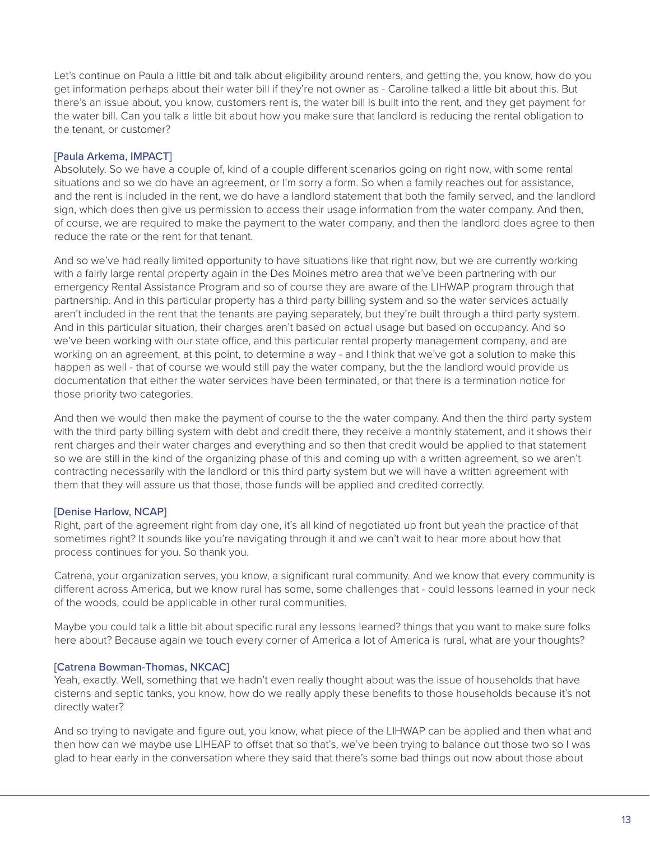Let's continue on Paula a little bit and talk about eligibility around renters, and getting the, you know, how do you get information perhaps about their water bill if they're not owner as - Caroline talked a little bit about this. But there's an issue about, you know, customers rent is, the water bill is built into the rent, and they get payment for the water bill. Can you talk a little bit about how you make sure that landlord is reducing the rental obligation to the tenant, or customer?

# [Paula Arkema, IMPACT]

Absolutely. So we have a couple of, kind of a couple different scenarios going on right now, with some rental situations and so we do have an agreement, or I'm sorry a form. So when a family reaches out for assistance, and the rent is included in the rent, we do have a landlord statement that both the family served, and the landlord sign, which does then give us permission to access their usage information from the water company. And then, of course, we are required to make the payment to the water company, and then the landlord does agree to then reduce the rate or the rent for that tenant.

And so we've had really limited opportunity to have situations like that right now, but we are currently working with a fairly large rental property again in the Des Moines metro area that we've been partnering with our emergency Rental Assistance Program and so of course they are aware of the LIHWAP program through that partnership. And in this particular property has a third party billing system and so the water services actually aren't included in the rent that the tenants are paying separately, but they're built through a third party system. And in this particular situation, their charges aren't based on actual usage but based on occupancy. And so we've been working with our state office, and this particular rental property management company, and are working on an agreement, at this point, to determine a way - and I think that we've got a solution to make this happen as well - that of course we would still pay the water company, but the the landlord would provide us documentation that either the water services have been terminated, or that there is a termination notice for those priority two categories.

And then we would then make the payment of course to the the water company. And then the third party system with the third party billing system with debt and credit there, they receive a monthly statement, and it shows their rent charges and their water charges and everything and so then that credit would be applied to that statement so we are still in the kind of the organizing phase of this and coming up with a written agreement, so we aren't contracting necessarily with the landlord or this third party system but we will have a written agreement with them that they will assure us that those, those funds will be applied and credited correctly.

### [Denise Harlow, NCAP]

Right, part of the agreement right from day one, it's all kind of negotiated up front but yeah the practice of that sometimes right? It sounds like you're navigating through it and we can't wait to hear more about how that process continues for you. So thank you.

Catrena, your organization serves, you know, a significant rural community. And we know that every community is different across America, but we know rural has some, some challenges that - could lessons learned in your neck of the woods, could be applicable in other rural communities.

Maybe you could talk a little bit about specific rural any lessons learned? things that you want to make sure folks here about? Because again we touch every corner of America a lot of America is rural, what are your thoughts?

### [Catrena Bowman-Thomas, NKCAC]

Yeah, exactly. Well, something that we hadn't even really thought about was the issue of households that have cisterns and septic tanks, you know, how do we really apply these benefits to those households because it's not directly water?

And so trying to navigate and figure out, you know, what piece of the LIHWAP can be applied and then what and then how can we maybe use LIHEAP to offset that so that's, we've been trying to balance out those two so I was glad to hear early in the conversation where they said that there's some bad things out now about those about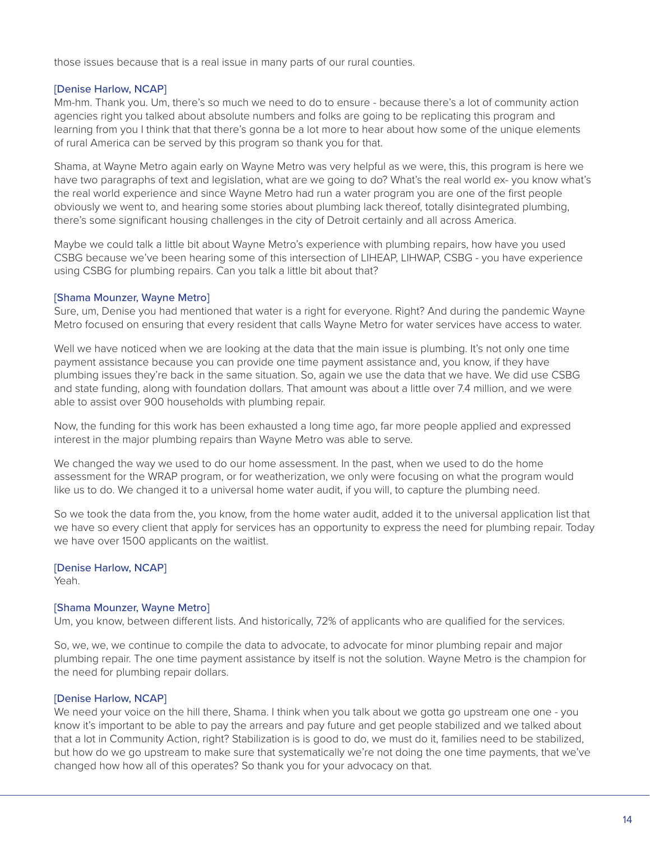those issues because that is a real issue in many parts of our rural counties.

# [Denise Harlow, NCAP]

Mm-hm. Thank you. Um, there's so much we need to do to ensure - because there's a lot of community action agencies right you talked about absolute numbers and folks are going to be replicating this program and learning from you I think that that there's gonna be a lot more to hear about how some of the unique elements of rural America can be served by this program so thank you for that.

Shama, at Wayne Metro again early on Wayne Metro was very helpful as we were, this, this program is here we have two paragraphs of text and legislation, what are we going to do? What's the real world ex- you know what's the real world experience and since Wayne Metro had run a water program you are one of the first people obviously we went to, and hearing some stories about plumbing lack thereof, totally disintegrated plumbing, there's some significant housing challenges in the city of Detroit certainly and all across America.

Maybe we could talk a little bit about Wayne Metro's experience with plumbing repairs, how have you used CSBG because we've been hearing some of this intersection of LIHEAP, LIHWAP, CSBG - you have experience using CSBG for plumbing repairs. Can you talk a little bit about that?

# [Shama Mounzer, Wayne Metro]

Sure, um, Denise you had mentioned that water is a right for everyone. Right? And during the pandemic Wayne Metro focused on ensuring that every resident that calls Wayne Metro for water services have access to water.

Well we have noticed when we are looking at the data that the main issue is plumbing. It's not only one time payment assistance because you can provide one time payment assistance and, you know, if they have plumbing issues they're back in the same situation. So, again we use the data that we have. We did use CSBG and state funding, along with foundation dollars. That amount was about a little over 7.4 million, and we were able to assist over 900 households with plumbing repair.

Now, the funding for this work has been exhausted a long time ago, far more people applied and expressed interest in the major plumbing repairs than Wayne Metro was able to serve.

We changed the way we used to do our home assessment. In the past, when we used to do the home assessment for the WRAP program, or for weatherization, we only were focusing on what the program would like us to do. We changed it to a universal home water audit, if you will, to capture the plumbing need.

So we took the data from the, you know, from the home water audit, added it to the universal application list that we have so every client that apply for services has an opportunity to express the need for plumbing repair. Today we have over 1500 applicants on the waitlist.

# [Denise Harlow, NCAP]

Yeah.

# [Shama Mounzer, Wayne Metro]

Um, you know, between different lists. And historically, 72% of applicants who are qualified for the services.

So, we, we, we continue to compile the data to advocate, to advocate for minor plumbing repair and major plumbing repair. The one time payment assistance by itself is not the solution. Wayne Metro is the champion for the need for plumbing repair dollars.

# [Denise Harlow, NCAP]

We need your voice on the hill there, Shama. I think when you talk about we gotta go upstream one one - you know it's important to be able to pay the arrears and pay future and get people stabilized and we talked about that a lot in Community Action, right? Stabilization is is good to do, we must do it, families need to be stabilized, but how do we go upstream to make sure that systematically we're not doing the one time payments, that we've changed how how all of this operates? So thank you for your advocacy on that.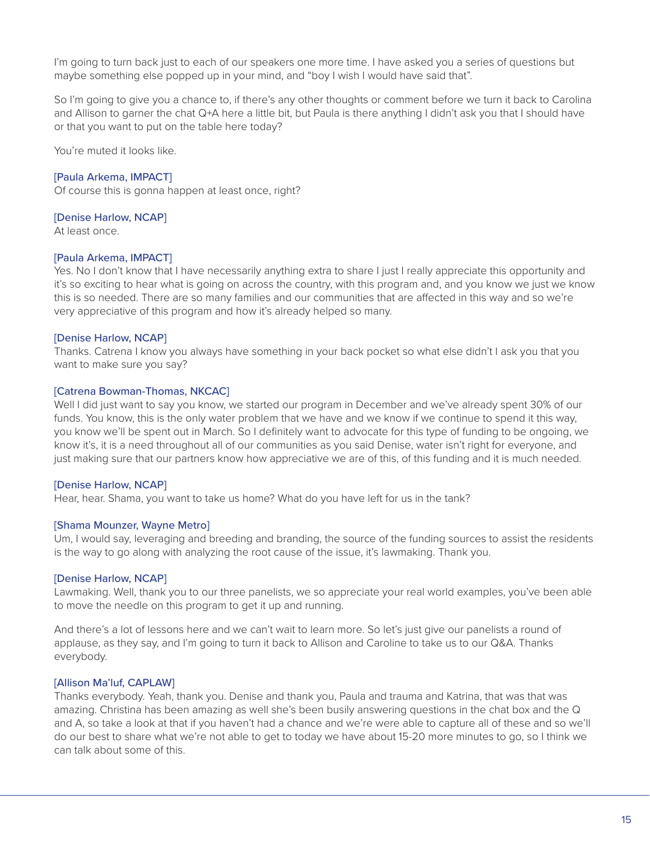I'm going to turn back just to each of our speakers one more time. I have asked you a series of questions but maybe something else popped up in your mind, and "boy I wish I would have said that".

So I'm going to give you a chance to, if there's any other thoughts or comment before we turn it back to Carolina and Allison to garner the chat Q+A here a little bit, but Paula is there anything I didn't ask you that I should have or that you want to put on the table here today?

You're muted it looks like.

### [Paula Arkema, IMPACT]

Of course this is gonna happen at least once, right?

### [Denise Harlow, NCAP]

At least once.

# [Paula Arkema, IMPACT]

Yes. No I don't know that I have necessarily anything extra to share I just I really appreciate this opportunity and it's so exciting to hear what is going on across the country, with this program and, and you know we just we know this is so needed. There are so many families and our communities that are affected in this way and so we're very appreciative of this program and how it's already helped so many.

# [Denise Harlow, NCAP]

Thanks. Catrena I know you always have something in your back pocket so what else didn't I ask you that you want to make sure you say?

### [Catrena Bowman-Thomas, NKCAC]

Well I did just want to say you know, we started our program in December and we've already spent 30% of our funds. You know, this is the only water problem that we have and we know if we continue to spend it this way, you know we'll be spent out in March. So I definitely want to advocate for this type of funding to be ongoing, we know it's, it is a need throughout all of our communities as you said Denise, water isn't right for everyone, and just making sure that our partners know how appreciative we are of this, of this funding and it is much needed.

### [Denise Harlow, NCAP]

Hear, hear. Shama, you want to take us home? What do you have left for us in the tank?

### [Shama Mounzer, Wayne Metro]

Um, I would say, leveraging and breeding and branding, the source of the funding sources to assist the residents is the way to go along with analyzing the root cause of the issue, it's lawmaking. Thank you.

### [Denise Harlow, NCAP]

Lawmaking. Well, thank you to our three panelists, we so appreciate your real world examples, you've been able to move the needle on this program to get it up and running.

And there's a lot of lessons here and we can't wait to learn more. So let's just give our panelists a round of applause, as they say, and I'm going to turn it back to Allison and Caroline to take us to our Q&A. Thanks everybody.

### [Allison Ma'luf, CAPLAW]

Thanks everybody. Yeah, thank you. Denise and thank you, Paula and trauma and Katrina, that was that was amazing. Christina has been amazing as well she's been busily answering questions in the chat box and the Q and A, so take a look at that if you haven't had a chance and we're were able to capture all of these and so we'll do our best to share what we're not able to get to today we have about 15-20 more minutes to go, so I think we can talk about some of this.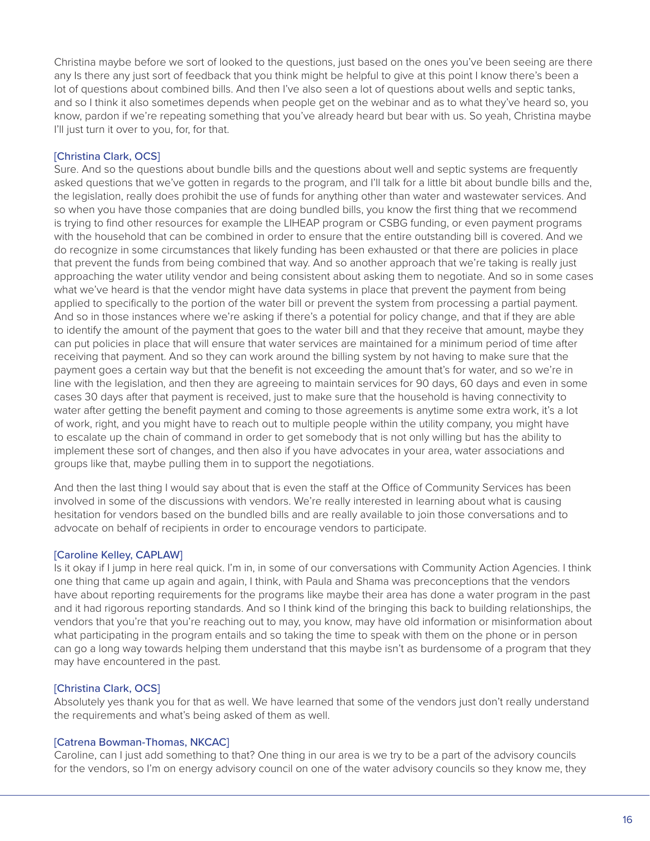Christina maybe before we sort of looked to the questions, just based on the ones you've been seeing are there any Is there any just sort of feedback that you think might be helpful to give at this point I know there's been a lot of questions about combined bills. And then I've also seen a lot of questions about wells and septic tanks, and so I think it also sometimes depends when people get on the webinar and as to what they've heard so, you know, pardon if we're repeating something that you've already heard but bear with us. So yeah, Christina maybe I'll just turn it over to you, for, for that.

# [Christina Clark, OCS]

Sure. And so the questions about bundle bills and the questions about well and septic systems are frequently asked questions that we've gotten in regards to the program, and I'll talk for a little bit about bundle bills and the, the legislation, really does prohibit the use of funds for anything other than water and wastewater services. And so when you have those companies that are doing bundled bills, you know the first thing that we recommend is trying to find other resources for example the LIHEAP program or CSBG funding, or even payment programs with the household that can be combined in order to ensure that the entire outstanding bill is covered. And we do recognize in some circumstances that likely funding has been exhausted or that there are policies in place that prevent the funds from being combined that way. And so another approach that we're taking is really just approaching the water utility vendor and being consistent about asking them to negotiate. And so in some cases what we've heard is that the vendor might have data systems in place that prevent the payment from being applied to specifically to the portion of the water bill or prevent the system from processing a partial payment. And so in those instances where we're asking if there's a potential for policy change, and that if they are able to identify the amount of the payment that goes to the water bill and that they receive that amount, maybe they can put policies in place that will ensure that water services are maintained for a minimum period of time after receiving that payment. And so they can work around the billing system by not having to make sure that the payment goes a certain way but that the benefit is not exceeding the amount that's for water, and so we're in line with the legislation, and then they are agreeing to maintain services for 90 days, 60 days and even in some cases 30 days after that payment is received, just to make sure that the household is having connectivity to water after getting the benefit payment and coming to those agreements is anytime some extra work, it's a lot of work, right, and you might have to reach out to multiple people within the utility company, you might have to escalate up the chain of command in order to get somebody that is not only willing but has the ability to implement these sort of changes, and then also if you have advocates in your area, water associations and groups like that, maybe pulling them in to support the negotiations.

And then the last thing I would say about that is even the staff at the Office of Community Services has been involved in some of the discussions with vendors. We're really interested in learning about what is causing hesitation for vendors based on the bundled bills and are really available to join those conversations and to advocate on behalf of recipients in order to encourage vendors to participate.

### [Caroline Kelley, CAPLAW]

Is it okay if I jump in here real quick. I'm in, in some of our conversations with Community Action Agencies. I think one thing that came up again and again, I think, with Paula and Shama was preconceptions that the vendors have about reporting requirements for the programs like maybe their area has done a water program in the past and it had rigorous reporting standards. And so I think kind of the bringing this back to building relationships, the vendors that you're that you're reaching out to may, you know, may have old information or misinformation about what participating in the program entails and so taking the time to speak with them on the phone or in person can go a long way towards helping them understand that this maybe isn't as burdensome of a program that they may have encountered in the past.

# [Christina Clark, OCS]

Absolutely yes thank you for that as well. We have learned that some of the vendors just don't really understand the requirements and what's being asked of them as well.

### [Catrena Bowman-Thomas, NKCAC]

Caroline, can I just add something to that? One thing in our area is we try to be a part of the advisory councils for the vendors, so I'm on energy advisory council on one of the water advisory councils so they know me, they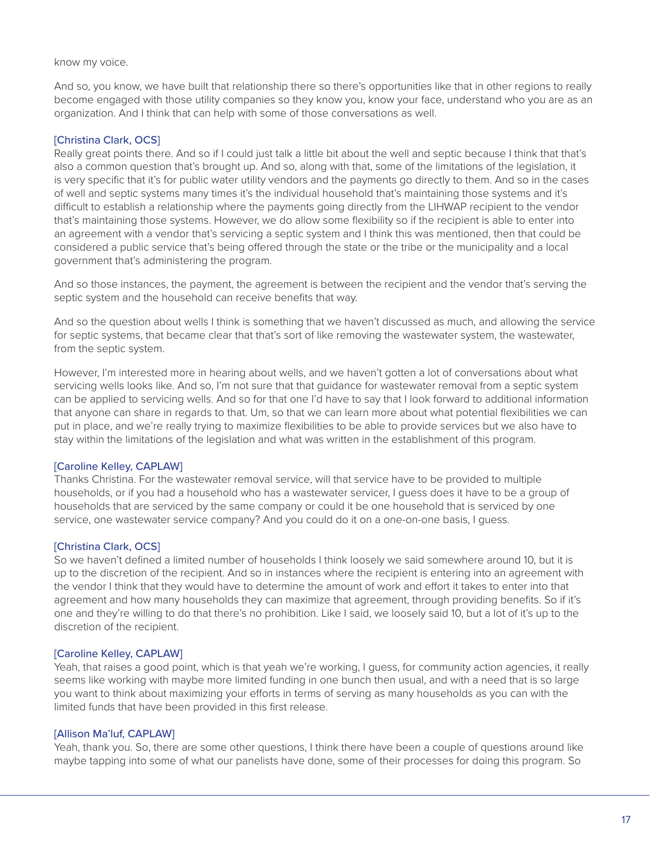#### know my voice.

And so, you know, we have built that relationship there so there's opportunities like that in other regions to really become engaged with those utility companies so they know you, know your face, understand who you are as an organization. And I think that can help with some of those conversations as well.

### [Christina Clark, OCS]

Really great points there. And so if I could just talk a little bit about the well and septic because I think that that's also a common question that's brought up. And so, along with that, some of the limitations of the legislation, it is very specific that it's for public water utility vendors and the payments go directly to them. And so in the cases of well and septic systems many times it's the individual household that's maintaining those systems and it's difficult to establish a relationship where the payments going directly from the LIHWAP recipient to the vendor that's maintaining those systems. However, we do allow some flexibility so if the recipient is able to enter into an agreement with a vendor that's servicing a septic system and I think this was mentioned, then that could be considered a public service that's being offered through the state or the tribe or the municipality and a local government that's administering the program.

And so those instances, the payment, the agreement is between the recipient and the vendor that's serving the septic system and the household can receive benefits that way.

And so the question about wells I think is something that we haven't discussed as much, and allowing the service for septic systems, that became clear that that's sort of like removing the wastewater system, the wastewater, from the septic system.

However, I'm interested more in hearing about wells, and we haven't gotten a lot of conversations about what servicing wells looks like. And so, I'm not sure that that guidance for wastewater removal from a septic system can be applied to servicing wells. And so for that one I'd have to say that I look forward to additional information that anyone can share in regards to that. Um, so that we can learn more about what potential flexibilities we can put in place, and we're really trying to maximize flexibilities to be able to provide services but we also have to stay within the limitations of the legislation and what was written in the establishment of this program.

### [Caroline Kelley, CAPLAW]

Thanks Christina. For the wastewater removal service, will that service have to be provided to multiple households, or if you had a household who has a wastewater servicer, I guess does it have to be a group of households that are serviced by the same company or could it be one household that is serviced by one service, one wastewater service company? And you could do it on a one-on-one basis, I guess.

# [Christina Clark, OCS]

So we haven't defined a limited number of households I think loosely we said somewhere around 10, but it is up to the discretion of the recipient. And so in instances where the recipient is entering into an agreement with the vendor I think that they would have to determine the amount of work and effort it takes to enter into that agreement and how many households they can maximize that agreement, through providing benefits. So if it's one and they're willing to do that there's no prohibition. Like I said, we loosely said 10, but a lot of it's up to the discretion of the recipient.

### [Caroline Kelley, CAPLAW]

Yeah, that raises a good point, which is that yeah we're working, I guess, for community action agencies, it really seems like working with maybe more limited funding in one bunch then usual, and with a need that is so large you want to think about maximizing your efforts in terms of serving as many households as you can with the limited funds that have been provided in this first release.

### [Allison Ma'luf, CAPLAW]

Yeah, thank you. So, there are some other questions, I think there have been a couple of questions around like maybe tapping into some of what our panelists have done, some of their processes for doing this program. So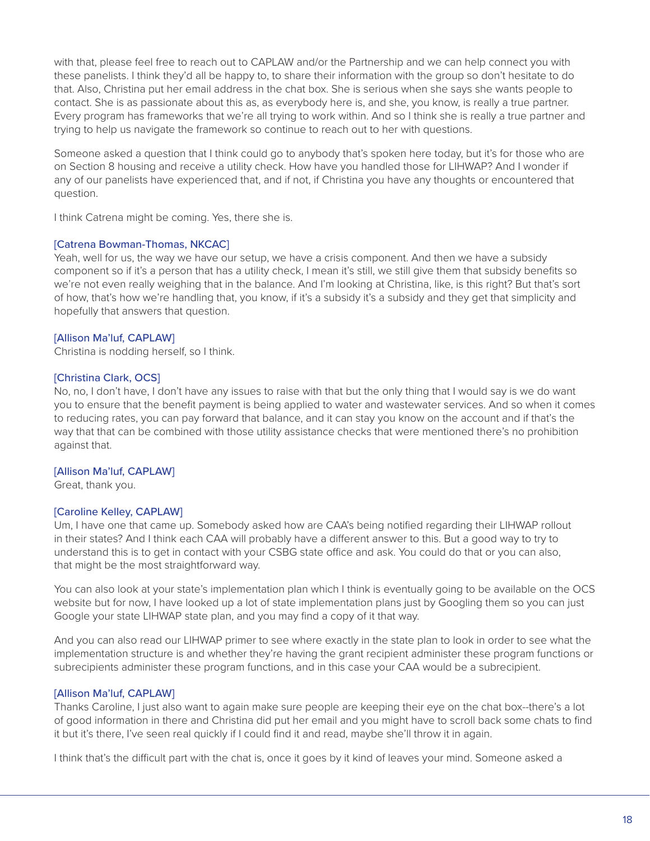with that, please feel free to reach out to CAPLAW and/or the Partnership and we can help connect you with these panelists. I think they'd all be happy to, to share their information with the group so don't hesitate to do that. Also, Christina put her email address in the chat box. She is serious when she says she wants people to contact. She is as passionate about this as, as everybody here is, and she, you know, is really a true partner. Every program has frameworks that we're all trying to work within. And so I think she is really a true partner and trying to help us navigate the framework so continue to reach out to her with questions.

Someone asked a question that I think could go to anybody that's spoken here today, but it's for those who are on Section 8 housing and receive a utility check. How have you handled those for LIHWAP? And I wonder if any of our panelists have experienced that, and if not, if Christina you have any thoughts or encountered that question.

I think Catrena might be coming. Yes, there she is.

# [Catrena Bowman-Thomas, NKCAC]

Yeah, well for us, the way we have our setup, we have a crisis component. And then we have a subsidy component so if it's a person that has a utility check, I mean it's still, we still give them that subsidy benefits so we're not even really weighing that in the balance. And I'm looking at Christina, like, is this right? But that's sort of how, that's how we're handling that, you know, if it's a subsidy it's a subsidy and they get that simplicity and hopefully that answers that question.

# [Allison Ma'luf, CAPLAW]

Christina is nodding herself, so I think.

# [Christina Clark, OCS]

No, no, I don't have, I don't have any issues to raise with that but the only thing that I would say is we do want you to ensure that the benefit payment is being applied to water and wastewater services. And so when it comes to reducing rates, you can pay forward that balance, and it can stay you know on the account and if that's the way that that can be combined with those utility assistance checks that were mentioned there's no prohibition against that.

# [Allison Ma'luf, CAPLAW]

Great, thank you.

# [Caroline Kelley, CAPLAW]

Um, I have one that came up. Somebody asked how are CAA's being notified regarding their LIHWAP rollout in their states? And I think each CAA will probably have a different answer to this. But a good way to try to understand this is to get in contact with your CSBG state office and ask. You could do that or you can also, that might be the most straightforward way.

You can also look at your state's implementation plan which I think is eventually going to be available on the OCS website but for now, I have looked up a lot of state implementation plans just by Googling them so you can just Google your state LIHWAP state plan, and you may find a copy of it that way.

And you can also read our LIHWAP primer to see where exactly in the state plan to look in order to see what the implementation structure is and whether they're having the grant recipient administer these program functions or subrecipients administer these program functions, and in this case your CAA would be a subrecipient.

# [Allison Ma'luf, CAPLAW]

Thanks Caroline, I just also want to again make sure people are keeping their eye on the chat box--there's a lot of good information in there and Christina did put her email and you might have to scroll back some chats to find it but it's there, I've seen real quickly if I could find it and read, maybe she'll throw it in again.

I think that's the difficult part with the chat is, once it goes by it kind of leaves your mind. Someone asked a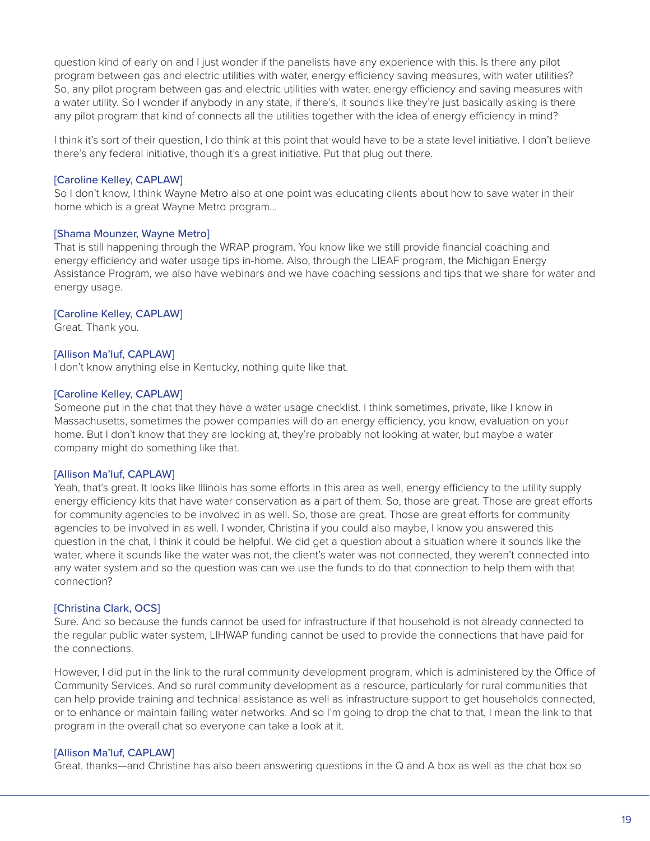question kind of early on and I just wonder if the panelists have any experience with this. Is there any pilot program between gas and electric utilities with water, energy efficiency saving measures, with water utilities? So, any pilot program between gas and electric utilities with water, energy efficiency and saving measures with a water utility. So I wonder if anybody in any state, if there's, it sounds like they're just basically asking is there any pilot program that kind of connects all the utilities together with the idea of energy efficiency in mind?

I think it's sort of their question, I do think at this point that would have to be a state level initiative. I don't believe there's any federal initiative, though it's a great initiative. Put that plug out there.

### [Caroline Kelley, CAPLAW]

So I don't know, I think Wayne Metro also at one point was educating clients about how to save water in their home which is a great Wayne Metro program...

#### [Shama Mounzer, Wayne Metro]

That is still happening through the WRAP program. You know like we still provide financial coaching and energy efficiency and water usage tips in-home. Also, through the LIEAF program, the Michigan Energy Assistance Program, we also have webinars and we have coaching sessions and tips that we share for water and energy usage.

#### [Caroline Kelley, CAPLAW]

Great. Thank you.

#### [Allison Ma'luf, CAPLAW]

I don't know anything else in Kentucky, nothing quite like that.

#### [Caroline Kelley, CAPLAW]

Someone put in the chat that they have a water usage checklist. I think sometimes, private, like I know in Massachusetts, sometimes the power companies will do an energy efficiency, you know, evaluation on your home. But I don't know that they are looking at, they're probably not looking at water, but maybe a water company might do something like that.

#### [Allison Ma'luf, CAPLAW]

Yeah, that's great. It looks like Illinois has some efforts in this area as well, energy efficiency to the utility supply energy efficiency kits that have water conservation as a part of them. So, those are great. Those are great efforts for community agencies to be involved in as well. So, those are great. Those are great efforts for community agencies to be involved in as well. I wonder, Christina if you could also maybe, I know you answered this question in the chat, I think it could be helpful. We did get a question about a situation where it sounds like the water, where it sounds like the water was not, the client's water was not connected, they weren't connected into any water system and so the question was can we use the funds to do that connection to help them with that connection?

### [Christina Clark, OCS]

Sure. And so because the funds cannot be used for infrastructure if that household is not already connected to the regular public water system, LIHWAP funding cannot be used to provide the connections that have paid for the connections.

However, I did put in the link to the rural community development program, which is administered by the Office of Community Services. And so rural community development as a resource, particularly for rural communities that can help provide training and technical assistance as well as infrastructure support to get households connected, or to enhance or maintain failing water networks. And so I'm going to drop the chat to that, I mean the link to that program in the overall chat so everyone can take a look at it.

### [Allison Ma'luf, CAPLAW]

Great, thanks—and Christine has also been answering questions in the Q and A box as well as the chat box so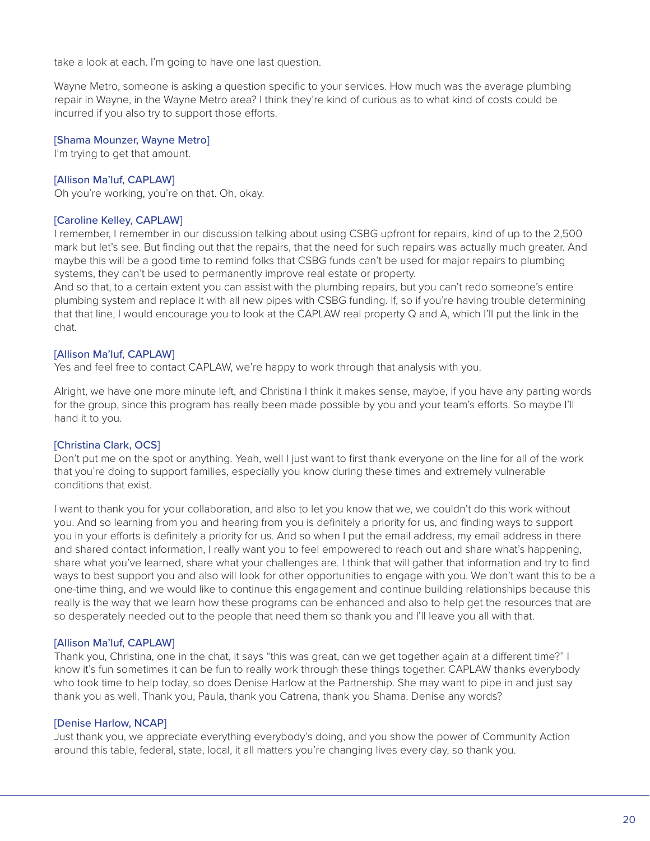take a look at each. I'm going to have one last question.

Wayne Metro, someone is asking a question specific to your services. How much was the average plumbing repair in Wayne, in the Wayne Metro area? I think they're kind of curious as to what kind of costs could be incurred if you also try to support those efforts.

### [Shama Mounzer, Wayne Metro]

I'm trying to get that amount.

# [Allison Ma'luf, CAPLAW]

Oh you're working, you're on that. Oh, okay.

### [Caroline Kelley, CAPLAW]

I remember, I remember in our discussion talking about using CSBG upfront for repairs, kind of up to the 2,500 mark but let's see. But finding out that the repairs, that the need for such repairs was actually much greater. And maybe this will be a good time to remind folks that CSBG funds can't be used for major repairs to plumbing systems, they can't be used to permanently improve real estate or property.

And so that, to a certain extent you can assist with the plumbing repairs, but you can't redo someone's entire plumbing system and replace it with all new pipes with CSBG funding. If, so if you're having trouble determining that that line, I would encourage you to look at the CAPLAW real property Q and A, which I'll put the link in the chat.

# [Allison Ma'luf, CAPLAW]

Yes and feel free to contact CAPLAW, we're happy to work through that analysis with you.

Alright, we have one more minute left, and Christina I think it makes sense, maybe, if you have any parting words for the group, since this program has really been made possible by you and your team's efforts. So maybe I'll hand it to you.

# [Christina Clark, OCS]

Don't put me on the spot or anything. Yeah, well I just want to first thank everyone on the line for all of the work that you're doing to support families, especially you know during these times and extremely vulnerable conditions that exist.

I want to thank you for your collaboration, and also to let you know that we, we couldn't do this work without you. And so learning from you and hearing from you is definitely a priority for us, and finding ways to support you in your efforts is definitely a priority for us. And so when I put the email address, my email address in there and shared contact information, I really want you to feel empowered to reach out and share what's happening, share what you've learned, share what your challenges are. I think that will gather that information and try to find ways to best support you and also will look for other opportunities to engage with you. We don't want this to be a one-time thing, and we would like to continue this engagement and continue building relationships because this really is the way that we learn how these programs can be enhanced and also to help get the resources that are so desperately needed out to the people that need them so thank you and I'll leave you all with that.

### [Allison Ma'luf, CAPLAW]

Thank you, Christina, one in the chat, it says "this was great, can we get together again at a different time?" I know it's fun sometimes it can be fun to really work through these things together. CAPLAW thanks everybody who took time to help today, so does Denise Harlow at the Partnership. She may want to pipe in and just say thank you as well. Thank you, Paula, thank you Catrena, thank you Shama. Denise any words?

### [Denise Harlow, NCAP]

Just thank you, we appreciate everything everybody's doing, and you show the power of Community Action around this table, federal, state, local, it all matters you're changing lives every day, so thank you.